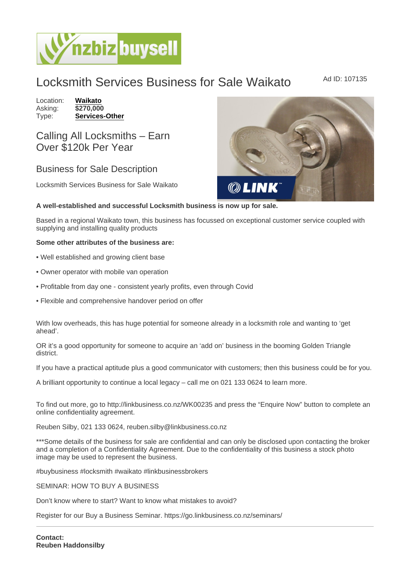## Locksmith Services Business for Sale Waikato Ad ID: 107135

Location: [Waikato](https://www.nzbizbuysell.co.nz/businesses-for-sale/location/Waikato) Asking: \$270,000<br>Type: Services-[Services-Other](https://www.nzbizbuysell.co.nz/businesses-for-sale/Services/New-Zealand)

Calling All Locksmiths – Earn Over \$120k Per Year

## Business for Sale Description

Locksmith Services Business for Sale Waikato

A well-established and successful Locksmith business is now up for sale.

Based in a regional Waikato town, this business has focussed on exceptional customer service coupled with supplying and installing quality products

Some other attributes of the business are:

- Well established and growing client base
- Owner operator with mobile van operation
- Profitable from day one consistent yearly profits, even through Covid
- Flexible and comprehensive handover period on offer

With low overheads, this has huge potential for someone already in a locksmith role and wanting to 'get ahead'.

OR it's a good opportunity for someone to acquire an 'add on' business in the booming Golden Triangle district.

If you have a practical aptitude plus a good communicator with customers; then this business could be for you.

A brilliant opportunity to continue a local legacy – call me on 021 133 0624 to learn more.

To find out more, go to http://linkbusiness.co.nz/WK00235 and press the "Enquire Now" button to complete an online confidentiality agreement.

Reuben Silby, 021 133 0624, reuben.silby@linkbusiness.co.nz

\*\*\*Some details of the business for sale are confidential and can only be disclosed upon contacting the broker and a completion of a Confidentiality Agreement. Due to the confidentiality of this business a stock photo image may be used to represent the business.

#buybusiness #locksmith #waikato #linkbusinessbrokers

SEMINAR: HOW TO BUY A BUSINESS

Don't know where to start? Want to know what mistakes to avoid?

Register for our Buy a Business Seminar. https://go.linkbusiness.co.nz/seminars/